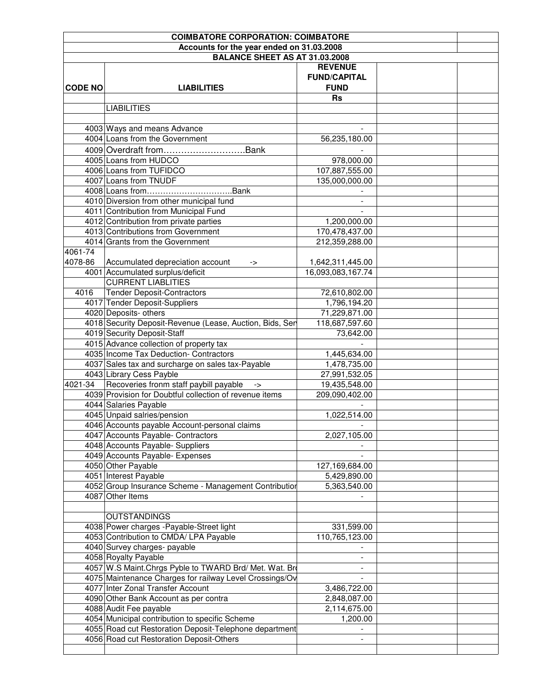|                | <b>COIMBATORE CORPORATION: COIMBATORE</b>                                         |                     |  |
|----------------|-----------------------------------------------------------------------------------|---------------------|--|
|                | Accounts for the year ended on 31.03.2008                                         |                     |  |
|                | <b>BALANCE SHEET AS AT 31.03.2008</b>                                             |                     |  |
|                |                                                                                   | <b>REVENUE</b>      |  |
|                |                                                                                   | <b>FUND/CAPITAL</b> |  |
| <b>CODE NO</b> | <b>LIABILITIES</b>                                                                | <b>FUND</b>         |  |
|                |                                                                                   | <b>Rs</b>           |  |
|                | <b>LIABILITIES</b>                                                                |                     |  |
|                |                                                                                   |                     |  |
|                | 4003 Ways and means Advance                                                       |                     |  |
|                | 4004 Loans from the Government                                                    | 56,235,180.00       |  |
|                | 4009 Overdraft fromBank                                                           |                     |  |
|                | 4005 Loans from HUDCO                                                             | 978,000.00          |  |
|                | 4006 Loans from TUFIDCO                                                           | 107,887,555.00      |  |
|                | 4007 Loans from TNUDF                                                             | 135,000,000.00      |  |
|                |                                                                                   |                     |  |
|                | 4010 Diversion from other municipal fund                                          |                     |  |
|                | 4011 Contribution from Municipal Fund                                             |                     |  |
|                | 4012 Contribution from private parties                                            | 1,200,000.00        |  |
|                | 4013 Contributions from Government                                                | 170,478,437.00      |  |
|                | 4014 Grants from the Government                                                   | 212,359,288.00      |  |
| 4061-74        |                                                                                   |                     |  |
| 4078-86        | Accumulated depreciation account                                                  | 1,642,311,445.00    |  |
|                | -><br>4001 Accumulated surplus/deficit                                            | 16,093,083,167.74   |  |
|                | <b>CURRENT LIABLITIES</b>                                                         |                     |  |
| 4016           |                                                                                   | 72,610,802.00       |  |
|                | <b>Tender Deposit-Contractors</b><br>4017 Tender Deposit-Suppliers                | 1,796,194.20        |  |
|                | 4020 Deposits- others                                                             |                     |  |
|                |                                                                                   | 71,229,871.00       |  |
|                | 4018 Security Deposit-Revenue (Lease, Auction, Bids, Ser                          | 118,687,597.60      |  |
|                | 4019 Security Deposit-Staff                                                       | 73,642.00           |  |
|                | 4015 Advance collection of property tax<br>4035 Income Tax Deduction- Contractors |                     |  |
|                |                                                                                   | 1,445,634.00        |  |
|                | 4037 Sales tax and surcharge on sales tax-Payable                                 | 1,478,735.00        |  |
|                | 4043 Library Cess Payble                                                          | 27,991,532.05       |  |
| 4021-34        | Recoveries fronm staff paybill payable<br>$\rightarrow$                           | 19,435,548.00       |  |
|                | 4039 Provision for Doubtful collection of revenue items                           | 209,090,402.00      |  |
|                | 4044 Salaries Payable                                                             |                     |  |
|                | 4045 Unpaid salries/pension                                                       | 1,022,514.00        |  |
|                | 4046 Accounts payable Account-personal claims                                     |                     |  |
|                | 4047 Accounts Payable- Contractors                                                | 2,027,105.00        |  |
|                | 4048 Accounts Payable- Suppliers                                                  |                     |  |
|                | 4049 Accounts Payable- Expenses                                                   |                     |  |
|                | 4050 Other Payable                                                                | 127,169,684.00      |  |
|                | 4051 Interest Payable                                                             | 5,429,890.00        |  |
|                | 4052 Group Insurance Scheme - Management Contribution                             | 5,363,540.00        |  |
|                | 4087 Other Items                                                                  |                     |  |
|                |                                                                                   |                     |  |
|                | <b>OUTSTANDINGS</b>                                                               |                     |  |
|                | 4038 Power charges - Payable-Street light                                         | 331,599.00          |  |
|                | 4053 Contribution to CMDA/ LPA Payable                                            | 110,765,123.00      |  |
|                | 4040 Survey charges- payable                                                      |                     |  |
|                | 4058 Royalty Payable                                                              |                     |  |
|                | 4057 W.S Maint Chrgs Pyble to TWARD Brd/ Met. Wat. Brd                            |                     |  |
|                | 4075 Maintenance Charges for railway Level Crossings/Ov                           |                     |  |
|                | 4077 Inter Zonal Transfer Account                                                 | 3,486,722.00        |  |
|                | 4090 Other Bank Account as per contra                                             | 2,848,087.00        |  |
|                | 4088 Audit Fee payable                                                            | 2,114,675.00        |  |
|                | 4054 Municipal contribution to specific Scheme                                    | 1,200.00            |  |
|                | 4055 Road cut Restoration Deposit-Telephone department                            |                     |  |
|                | 4056 Road cut Restoration Deposit-Others                                          |                     |  |
|                |                                                                                   |                     |  |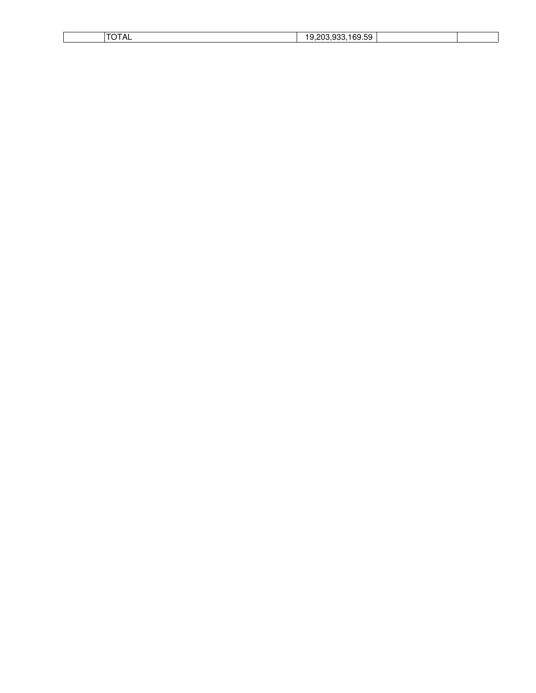| ┒∟ | $\sim$<br>ົ<br>c<br>nn<br>``<br>.<br>. ت |  |
|----|------------------------------------------|--|
|    |                                          |  |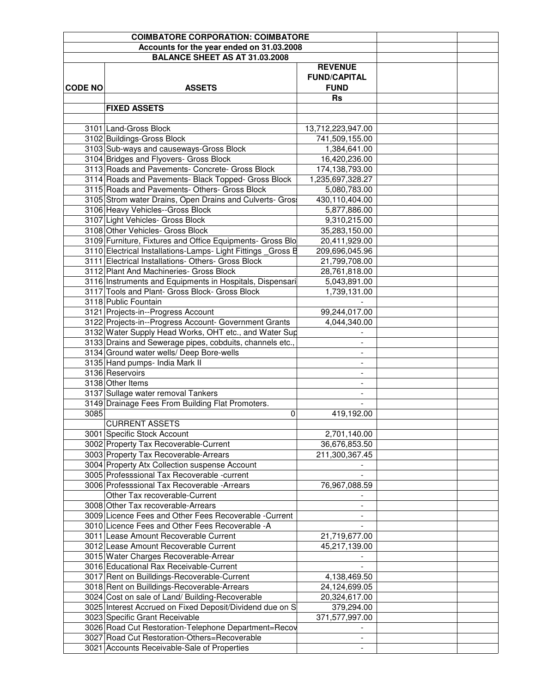|                | <b>COIMBATORE CORPORATION: COIMBATORE</b>                    |                          |  |
|----------------|--------------------------------------------------------------|--------------------------|--|
|                | Accounts for the year ended on 31.03.2008                    |                          |  |
|                | <b>BALANCE SHEET AS AT 31.03.2008</b>                        |                          |  |
|                |                                                              | <b>REVENUE</b>           |  |
|                |                                                              | <b>FUND/CAPITAL</b>      |  |
| <b>CODE NO</b> | <b>ASSETS</b>                                                | <b>FUND</b>              |  |
|                |                                                              | <b>Rs</b>                |  |
|                | <b>FIXED ASSETS</b>                                          |                          |  |
|                |                                                              |                          |  |
|                | 3101 Land-Gross Block                                        | 13,712,223,947.00        |  |
|                | 3102 Buildings-Gross Block                                   | 741,509,155.00           |  |
|                | 3103 Sub-ways and causeways-Gross Block                      | 1,384,641.00             |  |
|                | 3104 Bridges and Flyovers- Gross Block                       | 16,420,236.00            |  |
|                | 3113 Roads and Pavements- Concrete- Gross Block              | 174,138,793.00           |  |
|                | 3114 Roads and Pavements- Black Topped- Gross Block          | 1,235,697,328.27         |  |
|                | 3115 Roads and Pavements- Others- Gross Block                | 5,080,783.00             |  |
|                | 3105 Strom water Drains, Open Drains and Culverts- Gros      | 430,110,404.00           |  |
|                | 3106 Heavy Vehicles--Gross Block                             | 5,877,886.00             |  |
|                | 3107 Light Vehicles- Gross Block                             | 9,310,215.00             |  |
|                | 3108 Other Vehicles- Gross Block                             | 35,283,150.00            |  |
|                | 3109 Furniture, Fixtures and Office Equipments- Gross Blo    | 20,411,929.00            |  |
|                | 3110 Electrical Installations-Lamps- Light Fittings _Gross B | 209,696,045.96           |  |
|                | 3111 Electrical Installations- Others- Gross Block           | 21,799,708.00            |  |
|                | 3112 Plant And Machineries- Gross Block                      | 28,761,818.00            |  |
|                | 3116 Instruments and Equipments in Hospitals, Dispensari     | 5,043,891.00             |  |
|                | 3117 Tools and Plant- Gross Block- Gross Block               | 1,739,131.00             |  |
|                | 3118 Public Fountain                                         |                          |  |
|                | 3121 Projects-in--Progress Account                           | 99,244,017.00            |  |
|                | 3122 Projects-in--Progress Account- Government Grants        | 4,044,340.00             |  |
|                | 3132 Water Supply Head Works, OHT etc., and Water Sup        |                          |  |
|                | 3133 Drains and Sewerage pipes, cobduits, channels etc.,     | $\overline{\phantom{a}}$ |  |
|                | 3134 Ground water wells/ Deep Bore-wells                     |                          |  |
|                | 3135 Hand pumps- India Mark II                               |                          |  |
|                | 3136 Reservoirs                                              |                          |  |
|                | 3138 Other Items                                             |                          |  |
|                | 3137 Sullage water removal Tankers                           |                          |  |
|                | 3149 Drainage Fees From Building Flat Promoters.             |                          |  |
| 3085           | 0                                                            | 419,192.00               |  |
|                | <b>CURRENT ASSETS</b>                                        |                          |  |
|                | 3001 Specific Stock Account                                  | 2,701,140.00             |  |
|                | 3002 Property Tax Recoverable-Current                        | 36,676,853.50            |  |
|                | 3003 Property Tax Recoverable-Arrears                        | 211,300,367.45           |  |
|                | 3004 Property Atx Collection suspense Account                |                          |  |
|                | 3005 Professsional Tax Recoverable -current                  |                          |  |
|                | 3006 Professsional Tax Recoverable - Arrears                 | 76,967,088.59            |  |
|                | Other Tax recoverable-Current                                |                          |  |
|                | 3008 Other Tax recoverable-Arrears                           |                          |  |
|                | 3009 Licence Fees and Other Fees Recoverable -Current        |                          |  |
|                | 3010 Licence Fees and Other Fees Recoverable -A              |                          |  |
|                | 3011 Lease Amount Recoverable Current                        | 21,719,677.00            |  |
|                | 3012 Lease Amount Recoverable Current                        | 45,217,139.00            |  |
|                | 3015 Water Charges Recoverable-Arrear                        |                          |  |
|                | 3016 Educational Rax Receivable-Current                      |                          |  |
|                | 3017 Rent on Builldings-Recoverable-Current                  | 4,138,469.50             |  |
|                | 3018 Rent on Builldings-Recoverable-Arrears                  | 24,124,699.05            |  |
|                | 3024 Cost on sale of Land/ Building-Recoverable              | 20,324,617.00            |  |
|                | 3025 Interest Accrued on Fixed Deposit/Dividend due on S     | 379,294.00               |  |
|                | 3023 Specific Grant Receivable                               | 371,577,997.00           |  |
|                | 3026 Road Cut Restoration-Telephone Department=Recov         |                          |  |
|                | 3027 Road Cut Restoration-Others=Recoverable                 |                          |  |
|                | 3021 Accounts Receivable-Sale of Properties                  | $\overline{\phantom{a}}$ |  |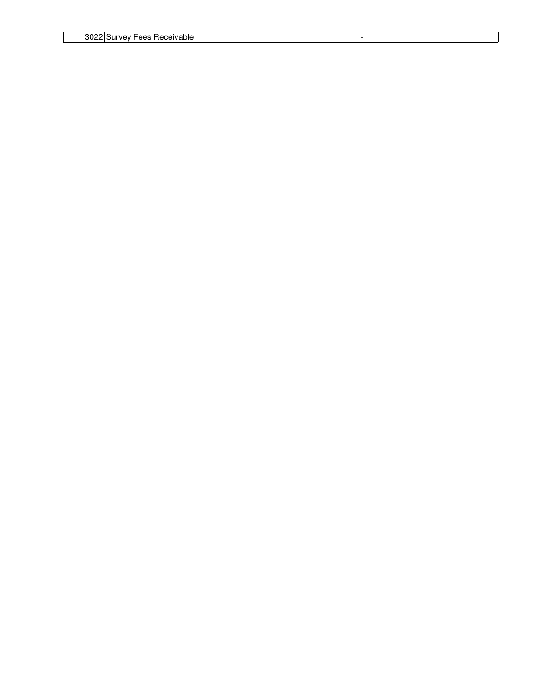|--|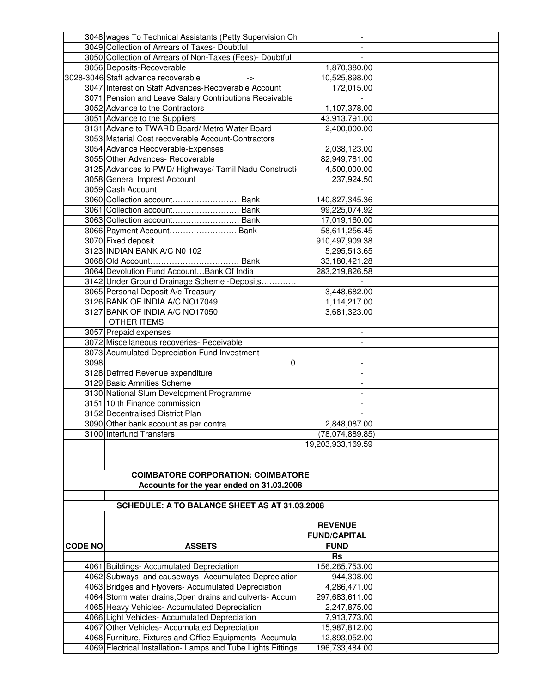|                | 3048 wages To Technical Assistants (Petty Supervision Ch     |                          |  |
|----------------|--------------------------------------------------------------|--------------------------|--|
|                | 3049 Collection of Arrears of Taxes- Doubtful                |                          |  |
|                | 3050 Collection of Arrears of Non-Taxes (Fees)- Doubtful     |                          |  |
|                | 3056 Deposits-Recoverable                                    | 1,870,380.00             |  |
|                | 3028-3046 Staff advance recoverable<br>->                    | 10,525,898.00            |  |
|                | 3047 Interest on Staff Advances-Recoverable Account          | 172,015.00               |  |
|                | 3071 Pension and Leave Salary Contributions Receivable       |                          |  |
|                | 3052 Advance to the Contractors                              | 1,107,378.00             |  |
|                | 3051 Advance to the Suppliers                                | 43,913,791.00            |  |
|                | 3131 Advane to TWARD Board/ Metro Water Board                | 2,400,000.00             |  |
|                | 3053 Material Cost recoverable Account-Contractors           |                          |  |
|                | 3054 Advance Recoverable-Expenses                            | 2,038,123.00             |  |
|                | 3055 Other Advances- Recoverable                             | 82,949,781.00            |  |
|                | 3125 Advances to PWD/ Highways/ Tamil Nadu Constructi        | 4,500,000.00             |  |
|                | 3058 General Imprest Account                                 | 237,924.50               |  |
|                | 3059 Cash Account                                            |                          |  |
|                | 3060 Collection account Bank                                 | 140,827,345.36           |  |
|                | 3061 Collection account Bank                                 | 99,225,074.92            |  |
|                | 3063 Collection account Bank                                 | 17,019,160.00            |  |
|                | 3066 Payment Account Bank                                    | 58,611,256.45            |  |
|                | 3070 Fixed deposit                                           | 910,497,909.38           |  |
|                | 3123 INDIAN BANK A/C N0 102                                  | 5,295,513.65             |  |
|                |                                                              | 33,180,421.28            |  |
|                | 3064 Devolution Fund AccountBank Of India                    | 283,219,826.58           |  |
|                | 3142 Under Ground Drainage Scheme - Deposits                 |                          |  |
|                | 3065 Personal Deposit A/c Treasury                           | 3,448,682.00             |  |
|                | 3126 BANK OF INDIA A/C NO17049                               |                          |  |
|                | 3127 BANK OF INDIA A/C NO17050                               | 1,114,217.00             |  |
|                | <b>OTHER ITEMS</b>                                           | 3,681,323.00             |  |
|                |                                                              |                          |  |
|                | 3057 Prepaid expenses                                        |                          |  |
|                | 3072 Miscellaneous recoveries- Receivable                    | $\overline{\phantom{0}}$ |  |
|                | 3073 Acumulated Depreciation Fund Investment                 | $\blacksquare$           |  |
| 3098           | 0                                                            |                          |  |
|                | 3128 Defrred Revenue expenditure                             |                          |  |
|                | 3129 Basic Amnities Scheme                                   |                          |  |
|                | 3130 National Slum Development Programme                     |                          |  |
|                | 3151 10 th Finance commission                                |                          |  |
|                | 3152 Decentralised District Plan                             |                          |  |
|                | 3090 Other bank account as per contra                        | 2,848,087.00             |  |
|                | 3100 Interfund Transfers                                     | (78,074,889.85)          |  |
|                |                                                              | 19,203,933,169.59        |  |
|                |                                                              |                          |  |
|                |                                                              |                          |  |
|                | <b>COIMBATORE CORPORATION: COIMBATORE</b>                    |                          |  |
|                | Accounts for the year ended on 31.03.2008                    |                          |  |
|                |                                                              |                          |  |
|                | SCHEDULE: A TO BALANCE SHEET AS AT 31.03.2008                |                          |  |
|                |                                                              |                          |  |
|                |                                                              | <b>REVENUE</b>           |  |
|                |                                                              | <b>FUND/CAPITAL</b>      |  |
| <b>CODE NO</b> | <b>ASSETS</b>                                                | <b>FUND</b>              |  |
|                |                                                              | <b>Rs</b>                |  |
|                | 4061 Buildings- Accumulated Depreciation                     | 156,265,753.00           |  |
|                | 4062 Subways and causeways- Accumulated Depreciation         | 944,308.00               |  |
|                | 4063 Bridges and Flyovers- Accumulated Depreciation          | 4,286,471.00             |  |
|                | 4064 Storm water drains, Open drains and culverts- Accum     | 297,683,611.00           |  |
|                | 4065 Heavy Vehicles- Accumulated Depreciation                | 2,247,875.00             |  |
|                | 4066 Light Vehicles- Accumulated Depreciation                | 7,913,773.00             |  |
|                | 4067 Other Vehicles- Accumulated Depreciation                | 15,987,812.00            |  |
|                | 4068 Furniture, Fixtures and Office Equipments- Accumula     | 12,893,052.00            |  |
|                | 4069 Electrical Installation- Lamps and Tube Lights Fittings | 196,733,484.00           |  |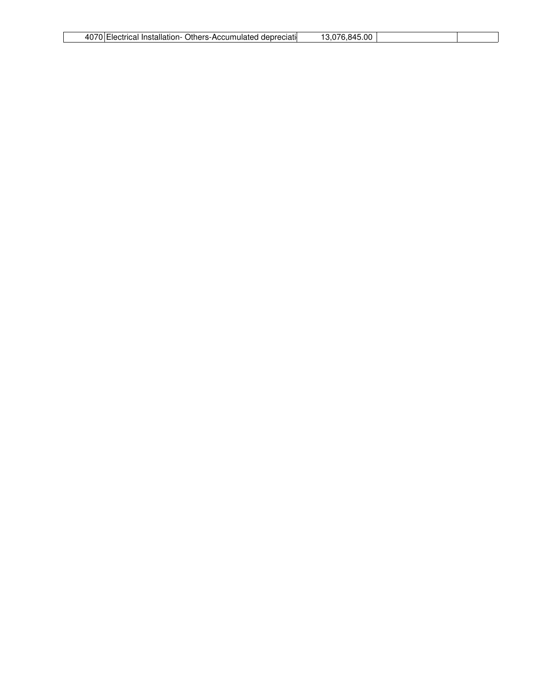| $\sim$<br>Others-Accumulated<br>. Installation-<br>Electrical<br>depreciati | $\overline{\phantom{0}}$<br>00<br>845<br>$\overline{\phantom{a}}$ |  |
|-----------------------------------------------------------------------------|-------------------------------------------------------------------|--|
|                                                                             |                                                                   |  |